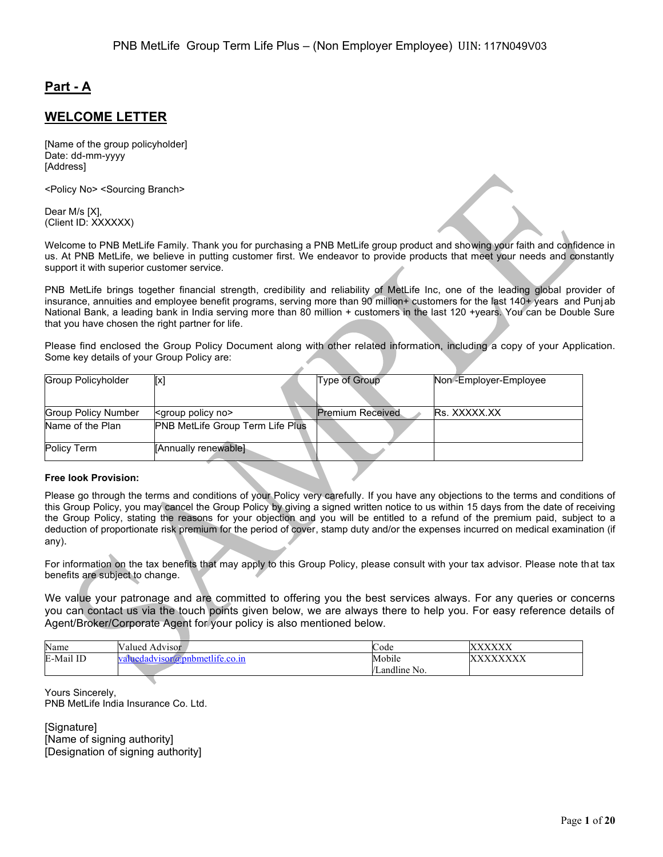# **Part - A**

### **WELCOME LETTER**

[Name of the group policyholder] Date: dd-mm-yyyy [Address]

<Policy No> <Sourcing Branch>

Dear M/s [X], (Client ID: XXXXXX)

Welcome to PNB MetLife Family. Thank you for purchasing a PNB MetLife group product and showing your faith and confidence in us. At PNB MetLife, we believe in putting customer first. We endeavor to provide products that meet your needs and constantly support it with superior customer service.

PNB MetLife brings together financial strength, credibility and reliability of MetLife Inc, one of the leading global provider of insurance, annuities and employee benefit programs, serving more than 90 million+ customers for the last 140+ years and Punjab National Bank, a leading bank in India serving more than 80 million + customers in the last 120 +years. You can be Double Sure that you have chosen the right partner for life.

Please find enclosed the Group Policy Document along with other related information, including a copy of your Application. Some key details of your Group Policy are:

| Group Policyholder         | [x]                                                                                                | Type of Group           | Non-Employer-Employee |
|----------------------------|----------------------------------------------------------------------------------------------------|-------------------------|-----------------------|
|                            |                                                                                                    |                         |                       |
|                            |                                                                                                    |                         |                       |
| <b>Group Policy Number</b> | <group no<="" policy="" td=""><td><b>Premium Received</b></td><td><b>Rs. XXXXX.XX</b></td></group> | <b>Premium Received</b> | <b>Rs. XXXXX.XX</b>   |
| Name of the Plan           | <b>PNB MetLife Group Term Life Plus</b>                                                            |                         |                       |
|                            |                                                                                                    |                         |                       |
| Policy Term                | <b>[Annually renewable]</b>                                                                        |                         |                       |
|                            |                                                                                                    |                         |                       |

#### **Free look Provision:**

Please go through the terms and conditions of your Policy very carefully. If you have any objections to the terms and conditions of this Group Policy, you may cancel the Group Policy by giving a signed written notice to us within 15 days from the date of receiving the Group Policy, stating the reasons for your objection and you will be entitled to a refund of the premium paid, subject to a deduction of proportionate risk premium for the period of cover, stamp duty and/or the expenses incurred on medical examination (if any).

For information on the tax benefits that may apply to this Group Policy, please consult with your tax advisor. Please note that tax benefits are subject to change.

We value your patronage and are committed to offering you the best services always. For any queries or concerns you can contact us via the touch points given below, we are always there to help you. For easy reference details of Agent/Broker/Corporate Agent for your policy is also mentioned below.

| Name      | alued /<br>Advisor            | $\sim$<br>Code | <b>VVVVVV</b><br>Λ.<br>$\Delta \Delta \Delta \Delta \Delta$ |
|-----------|-------------------------------|----------------|-------------------------------------------------------------|
| E-Mail ID | aluedadvisor@pnbmetlife.co.in | Mobile         | <b>VVVVVVVV</b><br>∧<br>$\Delta \Delta \Delta$              |
|           |                               | Landline No.   |                                                             |

Yours Sincerely, PNB MetLife India Insurance Co. Ltd.

[Signature] [Name of signing authority] [Designation of signing authority]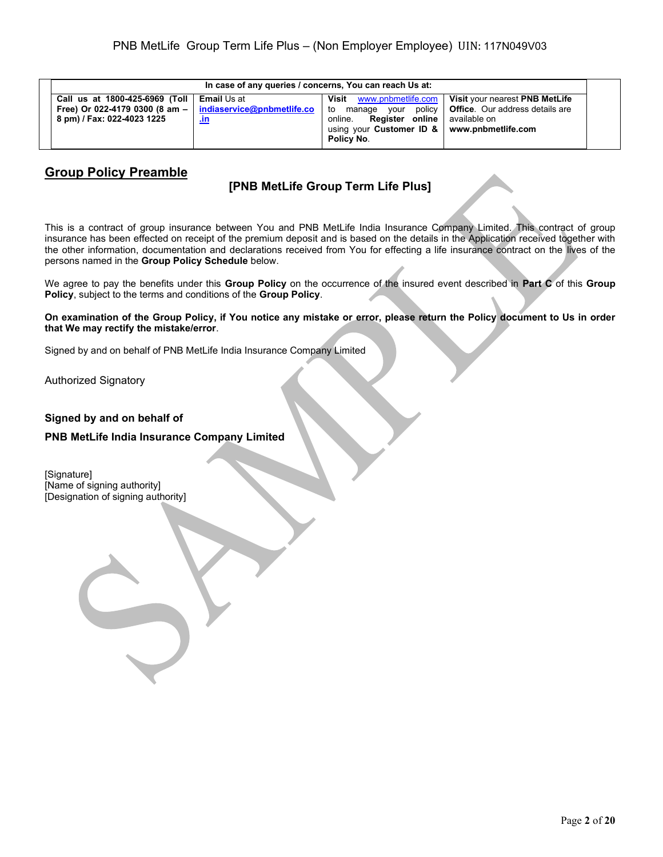| In case of any queries / concerns, You can reach Us at:                                        |                                                         |                                                                                                                                                                   |                                                                                           |
|------------------------------------------------------------------------------------------------|---------------------------------------------------------|-------------------------------------------------------------------------------------------------------------------------------------------------------------------|-------------------------------------------------------------------------------------------|
| Call us at 1800-425-6969 (Toll<br>Free) Or 022-4179 0300 (8 am -<br>8 pm) / Fax: 022-4023 1225 | <b>Email Us at</b><br>indiaservice@pnbmetlife.co<br>un. | www.pnbmetlife.com  <br>Visit<br>policv I<br>to<br>vour<br>manage<br>Register online l<br>online.<br>using your Customer ID $\&$ www.pnbmetlife.com<br>Policy No. | Visit your nearest PNB MetLife<br><b>Office</b> . Our address details are<br>available on |

## **Group Policy Preamble**

## **[PNB MetLife Group Term Life Plus]**

This is a contract of group insurance between You and PNB MetLife India Insurance Company Limited. This contract of group insurance has been effected on receipt of the premium deposit and is based on the details in the Application received together with the other information, documentation and declarations received from You for effecting a life insurance contract on the lives of the persons named in the **Group Policy Schedule** below.

We agree to pay the benefits under this **Group Policy** on the occurrence of the insured event described in **Part C** of this **Group Policy**, subject to the terms and conditions of the **Group Policy**.

**On examination of the Group Policy, if You notice any mistake or error, please return the Policy document to Us in order that We may rectify the mistake/error**.

Signed by and on behalf of PNB MetLife India Insurance Company Limited

Authorized Signatory

#### **Signed by and on behalf of**

#### **PNB MetLife India Insurance Company Limited**

[Signature] [Name of signing authority] [Designation of signing authority]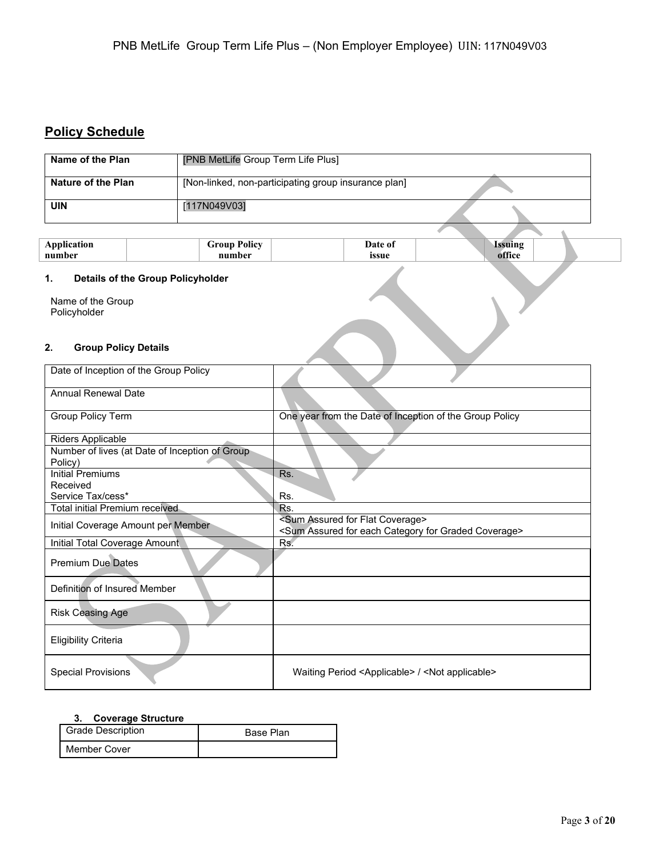# **Policy Schedule**

| Name of the Plan                                                                                  | [PNB MetLife Group Term Life Plus]       |                                                      |                                                                                                                               |  |
|---------------------------------------------------------------------------------------------------|------------------------------------------|------------------------------------------------------|-------------------------------------------------------------------------------------------------------------------------------|--|
| <b>Nature of the Plan</b>                                                                         |                                          | [Non-linked, non-participating group insurance plan] |                                                                                                                               |  |
| <b>UIN</b>                                                                                        | [117N049V03]                             |                                                      |                                                                                                                               |  |
|                                                                                                   |                                          |                                                      |                                                                                                                               |  |
| <b>Application</b><br>number                                                                      |                                          | <b>Group Policy</b><br>number                        | <b>Issuing</b><br>Date of<br>office<br>issue                                                                                  |  |
| 1.                                                                                                | <b>Details of the Group Policyholder</b> |                                                      |                                                                                                                               |  |
| Name of the Group<br>Policyholder                                                                 |                                          |                                                      |                                                                                                                               |  |
| 2.<br><b>Group Policy Details</b>                                                                 |                                          |                                                      |                                                                                                                               |  |
| Date of Inception of the Group Policy                                                             |                                          |                                                      |                                                                                                                               |  |
|                                                                                                   | Annual Renewal Date                      |                                                      |                                                                                                                               |  |
| <b>Group Policy Term</b>                                                                          |                                          |                                                      | One year from the Date of Inception of the Group Policy                                                                       |  |
| Riders Applicable                                                                                 |                                          |                                                      |                                                                                                                               |  |
| Number of lives (at Date of Inception of Group<br>Policy)                                         |                                          |                                                      |                                                                                                                               |  |
| <b>Initial Premiums</b>                                                                           |                                          |                                                      | Rs.                                                                                                                           |  |
| Received<br>Service Tax/cess*                                                                     |                                          |                                                      | Rs.                                                                                                                           |  |
| <b>Total initial Premium received</b>                                                             |                                          |                                                      | Rs.                                                                                                                           |  |
| Initial Coverage Amount per Member                                                                |                                          |                                                      | <sum assured="" coverage="" flat="" for=""><br/><sum assured="" category="" coverage="" each="" for="" graded=""></sum></sum> |  |
| Initial Total Coverage Amount                                                                     |                                          |                                                      | Rs.                                                                                                                           |  |
| <b>Premium Due Dates</b>                                                                          |                                          |                                                      |                                                                                                                               |  |
| Definition of Insured Member                                                                      |                                          |                                                      |                                                                                                                               |  |
| <b>Risk Ceasing Age</b>                                                                           |                                          |                                                      |                                                                                                                               |  |
| <b>Eligibility Criteria</b>                                                                       |                                          |                                                      |                                                                                                                               |  |
| <b>Special Provisions</b><br>Waiting Period <applicable> / <not applicable=""></not></applicable> |                                          |                                                      |                                                                                                                               |  |

### **3. Coverage Structure**

| <b>Grade Description</b> | <b>Base Plan</b> |
|--------------------------|------------------|
| Member Cover             |                  |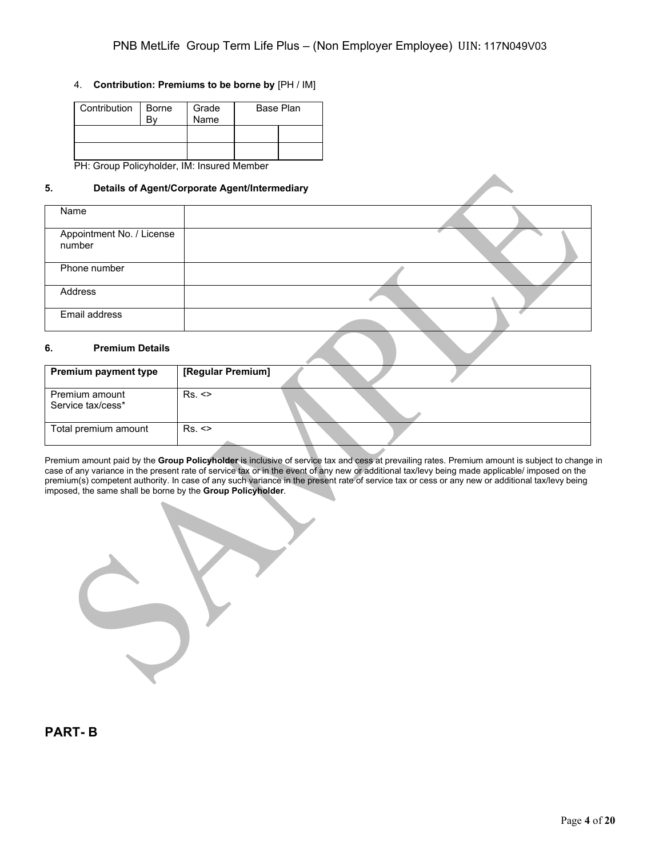#### 4. **Contribution: Premiums to be borne by** [PH / IM]

| Contribution | Borne | Grade<br>Name | Base Plan |
|--------------|-------|---------------|-----------|
|              |       |               |           |
|              |       |               |           |

PH: Group Policyholder, IM: Insured Member

#### **5. Details of Agent/Corporate Agent/Intermediary**

| Name                                |  |
|-------------------------------------|--|
| Appointment No. / License<br>number |  |
| Phone number                        |  |
| Address                             |  |
| Email address                       |  |

#### **6. Premium Details**

| <b>Premium payment type</b>         | [Regular Premium] |  |
|-------------------------------------|-------------------|--|
| Premium amount<br>Service tax/cess* | Rs.               |  |
| Total premium amount                | Rs.               |  |

Premium amount paid by the **Group Policyholder** is inclusive of service tax and cess at prevailing rates. Premium amount is subject to change in case of any variance in the present rate of service tax or in the event of any new or additional tax/levy being made applicable/ imposed on the premium(s) competent authority. In case of any such variance in the present rate of service tax or cess or any new or additional tax/levy being imposed, the same shall be borne by the **Group Policyholder**.

**PART- B**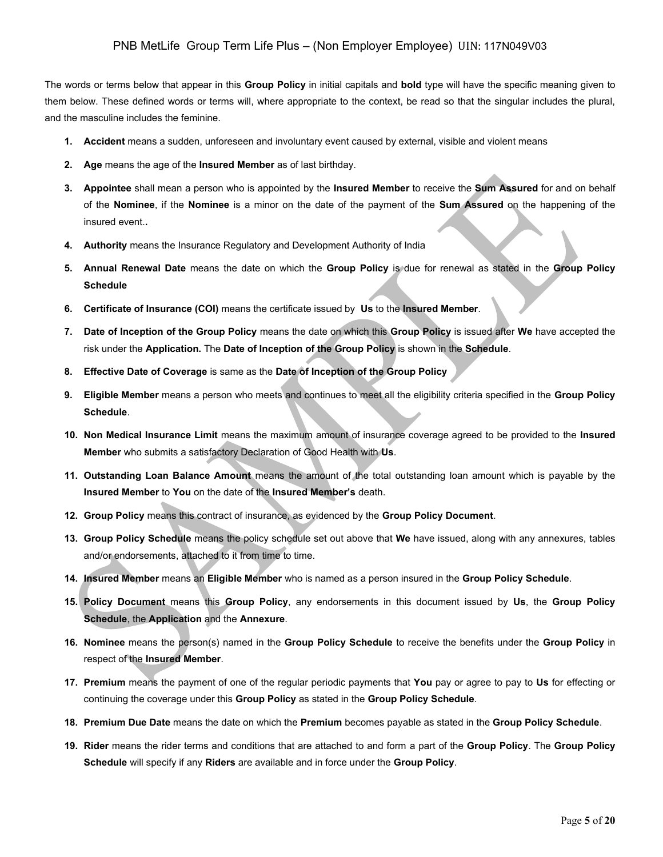The words or terms below that appear in this **Group Policy** in initial capitals and **bold** type will have the specific meaning given to them below. These defined words or terms will, where appropriate to the context, be read so that the singular includes the plural, and the masculine includes the feminine.

- **1. Accident** means a sudden, unforeseen and involuntary event caused by external, visible and violent means
- **2. Age** means the age of the **Insured Member** as of last birthday.
- **3. Appointee** shall mean a person who is appointed by the **Insured Member** to receive the **Sum Assured** for and on behalf of the **Nominee**, if the **Nominee** is a minor on the date of the payment of the **Sum Assured** on the happening of the insured event.**.**
- **4. Authority** means the Insurance Regulatory and Development Authority of India
- **5. Annual Renewal Date** means the date on which the **Group Policy** is due for renewal as stated in the **Group Policy Schedule**
- **6. Certificate of Insurance (COI)** means the certificate issued by **Us** to the **Insured Member**.
- **7. Date of Inception of the Group Policy** means the date on which this **Group Policy** is issued after **We** have accepted the risk under the **Application.** The **Date of Inception of the Group Policy** is shown in the **Schedule**.
- **8. Effective Date of Coverage** is same as the **Date of Inception of the Group Policy**
- **9. Eligible Member** means a person who meets and continues to meet all the eligibility criteria specified in the **Group Policy Schedule**.
- **10. Non Medical Insurance Limit** means the maximum amount of insurance coverage agreed to be provided to the **Insured Member** who submits a satisfactory Declaration of Good Health with **Us**.
- **11. Outstanding Loan Balance Amount** means the amount of the total outstanding loan amount which is payable by the **Insured Member** to **You** on the date of the **Insured Member's** death.
- **12. Group Policy** means this contract of insurance, as evidenced by the **Group Policy Document**.
- **13. Group Policy Schedule** means the policy schedule set out above that **We** have issued, along with any annexures, tables and/or endorsements, attached to it from time to time.
- **14. Insured Member** means an **Eligible Member** who is named as a person insured in the **Group Policy Schedule**.
- **15. Policy Document** means this **Group Policy**, any endorsements in this document issued by **Us**, the **Group Policy Schedule**, the **Application** and the **Annexure**.
- **16. Nominee** means the person(s) named in the **Group Policy Schedule** to receive the benefits under the **Group Policy** in respect of the **Insured Member**.
- **17. Premium** means the payment of one of the regular periodic payments that **You** pay or agree to pay to **Us** for effecting or continuing the coverage under this **Group Policy** as stated in the **Group Policy Schedule**.
- **18. Premium Due Date** means the date on which the **Premium** becomes payable as stated in the **Group Policy Schedule**.
- **19. Rider** means the rider terms and conditions that are attached to and form a part of the **Group Policy**. The **Group Policy Schedule** will specify if any **Riders** are available and in force under the **Group Policy**.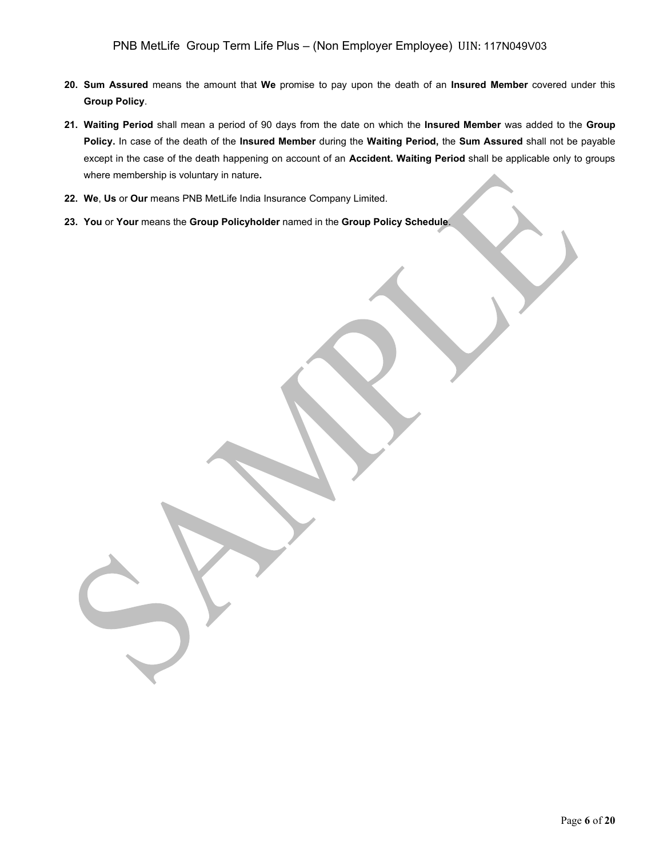- **20. Sum Assured** means the amount that **We** promise to pay upon the death of an **Insured Member** covered under this **Group Policy**.
- **21. Waiting Period** shall mean a period of 90 days from the date on which the **Insured Member** was added to the **Group Policy.** In case of the death of the **Insured Member** during the **Waiting Period,** the **Sum Assured** shall not be payable except in the case of the death happening on account of an **Accident. Waiting Period** shall be applicable only to groups where membership is voluntary in nature**.**
- **22. We**, **Us** or **Our** means PNB MetLife India Insurance Company Limited.
- **23. You** or **Your** means the **Group Policyholder** named in the **Group Policy Schedule**.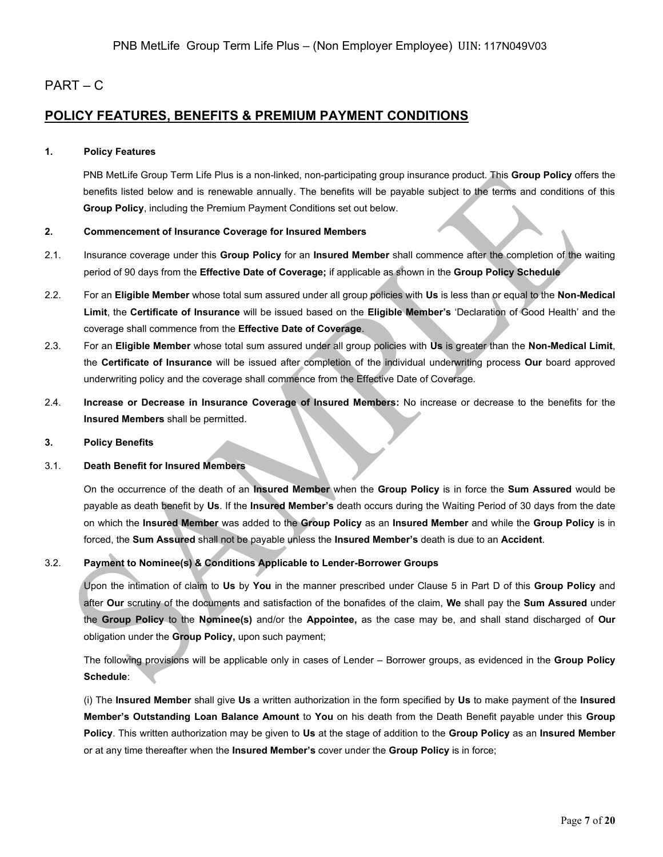### PART – C

### **POLICY FEATURES, BENEFITS & PREMIUM PAYMENT CONDITIONS**

#### **1. Policy Features**

PNB MetLife Group Term Life Plus is a non-linked, non-participating group insurance product. This **Group Policy** offers the benefits listed below and is renewable annually. The benefits will be payable subject to the terms and conditions of this **Group Policy**, including the Premium Payment Conditions set out below.

#### **2. Commencement of Insurance Coverage for Insured Members**

- 2.1. Insurance coverage under this **Group Policy** for an **Insured Member** shall commence after the completion of the waiting period of 90 days from the **Effective Date of Coverage;** if applicable as shown in the **Group Policy Schedule**
- 2.2. For an **Eligible Member** whose total sum assured under all group policies with **Us** is less than or equal to the **Non-Medical Limit**, the **Certificate of Insurance** will be issued based on the **Eligible Member's** 'Declaration of Good Health' and the coverage shall commence from the **Effective Date of Coverage**.
- 2.3. For an **Eligible Member** whose total sum assured under all group policies with **Us** is greater than the **Non-Medical Limit**, the **Certificate of Insurance** will be issued after completion of the individual underwriting process **Our** board approved underwriting policy and the coverage shall commence from the Effective Date of Coverage.
- 2.4. **Increase or Decrease in Insurance Coverage of Insured Members:** No increase or decrease to the benefits for the **Insured Members** shall be permitted.

#### **3. Policy Benefits**

#### 3.1. **Death Benefit for Insured Members**

On the occurrence of the death of an **Insured Member** when the **Group Policy** is in force the **Sum Assured** would be payable as death benefit by **Us**. If the **Insured Member's** death occurs during the Waiting Period of 30 days from the date on which the **Insured Member** was added to the **Group Policy** as an **Insured Member** and while the **Group Policy** is in forced, the **Sum Assured** shall not be payable unless the **Insured Member's** death is due to an **Accident**.

#### 3.2. **Payment to Nominee(s) & Conditions Applicable to Lender-Borrower Groups**

Upon the intimation of claim to **Us** by **You** in the manner prescribed under Clause 5 in Part D of this **Group Policy** and after **Our** scrutiny of the documents and satisfaction of the bonafides of the claim, **We** shall pay the **Sum Assured** under the **Group Policy** to the **Nominee(s)** and/or the **Appointee,** as the case may be, and shall stand discharged of **Our**  obligation under the **Group Policy,** upon such payment;

The following provisions will be applicable only in cases of Lender – Borrower groups, as evidenced in the **Group Policy Schedule**:

(i) The **Insured Member** shall give **Us** a written authorization in the form specified by **Us** to make payment of the **Insured Member's Outstanding Loan Balance Amount** to **You** on his death from the Death Benefit payable under this **Group Policy**. This written authorization may be given to **Us** at the stage of addition to the **Group Policy** as an **Insured Member** or at any time thereafter when the **Insured Member's** cover under the **Group Policy** is in force;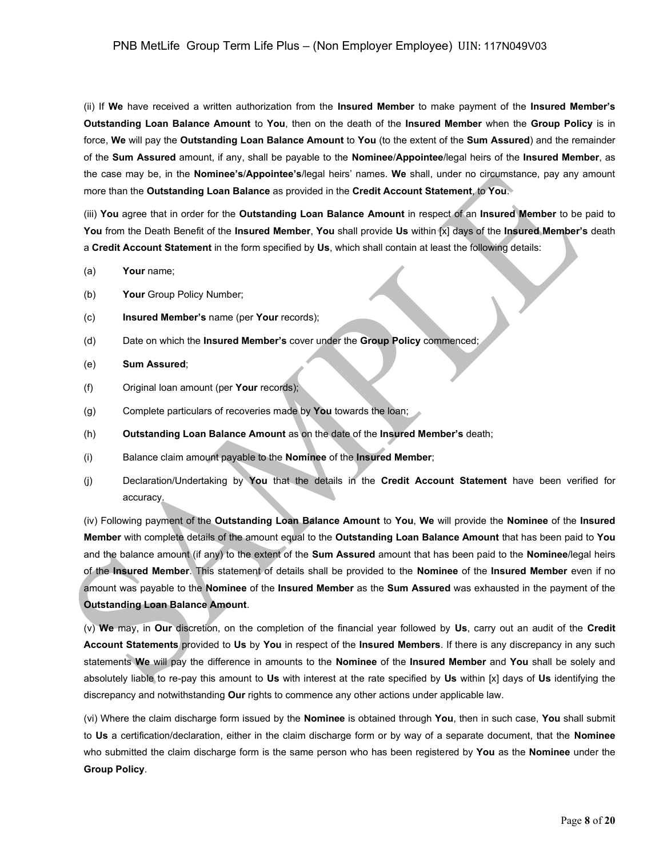(ii) If **We** have received a written authorization from the **Insured Member** to make payment of the **Insured Member's Outstanding Loan Balance Amount** to **You**, then on the death of the **Insured Member** when the **Group Policy** is in force, **We** will pay the **Outstanding Loan Balance Amount** to **You** (to the extent of the **Sum Assured**) and the remainder of the **Sum Assured** amount, if any, shall be payable to the **Nominee**/**Appointee**/legal heirs of the **Insured Member**, as the case may be, in the **Nominee's**/**Appointee's**/legal heirs' names. **We** shall, under no circumstance, pay any amount more than the **Outstanding Loan Balance** as provided in the **Credit Account Statement**, to **You**.

(iii) **You** agree that in order for the **Outstanding Loan Balance Amount** in respect of an **Insured Member** to be paid to **You** from the Death Benefit of the **Insured Member**, **You** shall provide **Us** within [x] days of the **Insured Member's** death a **Credit Account Statement** in the form specified by **Us**, which shall contain at least the following details:

- (a) **Your** name;
- (b) **Your** Group Policy Number;
- (c) **Insured Member's** name (per **Your** records);
- (d) Date on which the **Insured Member's** cover under the **Group Policy** commenced;
- (e) **Sum Assured**;
- (f) Original loan amount (per **Your** records);
- (g) Complete particulars of recoveries made by **You** towards the loan;
- (h) **Outstanding Loan Balance Amount** as on the date of the **Insured Member's** death;
- (i) Balance claim amount payable to the **Nominee** of the **Insured Member**;
- (j) Declaration/Undertaking by **You** that the details in the **Credit Account Statement** have been verified for accuracy.

(iv) Following payment of the **Outstanding Loan Balance Amount** to **You**, **We** will provide the **Nominee** of the **Insured Member** with complete details of the amount equal to the **Outstanding Loan Balance Amount** that has been paid to **You** and the balance amount (if any) to the extent of the **Sum Assured** amount that has been paid to the **Nominee**/legal heirs of the **Insured Member**. This statement of details shall be provided to the **Nominee** of the **Insured Member** even if no amount was payable to the **Nominee** of the **Insured Member** as the **Sum Assured** was exhausted in the payment of the **Outstanding Loan Balance Amount**.

(v) **We** may, in **Our** discretion, on the completion of the financial year followed by **Us**, carry out an audit of the **Credit Account Statements** provided to **Us** by **You** in respect of the **Insured Members**. If there is any discrepancy in any such statements **We** will pay the difference in amounts to the **Nominee** of the **Insured Member** and **You** shall be solely and absolutely liable to re-pay this amount to **Us** with interest at the rate specified by **Us** within [x] days of **Us** identifying the discrepancy and notwithstanding **Our** rights to commence any other actions under applicable law.

(vi) Where the claim discharge form issued by the **Nominee** is obtained through **You**, then in such case, **You** shall submit to **Us** a certification/declaration, either in the claim discharge form or by way of a separate document, that the **Nominee**  who submitted the claim discharge form is the same person who has been registered by **You** as the **Nominee** under the **Group Policy**.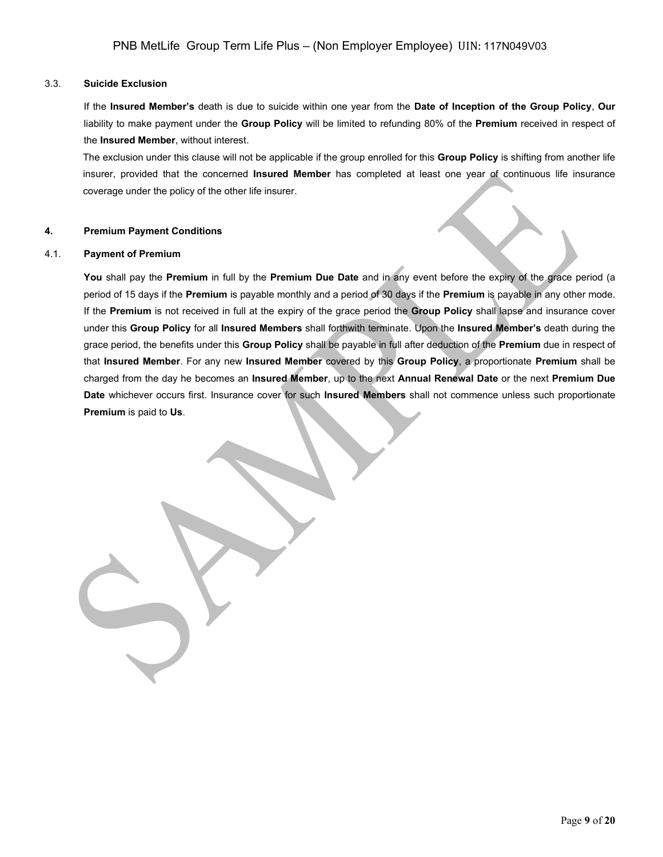#### 3.3. **Suicide Exclusion**

If the **Insured Member's** death is due to suicide within one year from the **Date of Inception of the Group Policy**, **Our** liability to make payment under the **Group Policy** will be limited to refunding 80% of the **Premium** received in respect of the **Insured Member**, without interest.

The exclusion under this clause will not be applicable if the group enrolled for this **Group Policy** is shifting from another life insurer, provided that the concerned **Insured Member** has completed at least one year of continuous life insurance coverage under the policy of the other life insurer.

#### **4. Premium Payment Conditions**

#### 4.1. **Payment of Premium**

**You** shall pay the **Premium** in full by the **Premium Due Date** and in any event before the expiry of the grace period (a period of 15 days if the **Premium** is payable monthly and a period of 30 days if the **Premium** is payable in any other mode. If the **Premium** is not received in full at the expiry of the grace period the **Group Policy** shall lapse and insurance cover under this **Group Policy** for all **Insured Members** shall forthwith terminate. Upon the **Insured Member's** death during the grace period, the benefits under this **Group Policy** shall be payable in full after deduction of the **Premium** due in respect of that **Insured Member**. For any new **Insured Member** covered by this **Group Policy**, a proportionate **Premium** shall be charged from the day he becomes an **Insured Member**, up to the next **Annual Renewal Date** or the next **Premium Due Date** whichever occurs first. Insurance cover for such **Insured Members** shall not commence unless such proportionate **Premium** is paid to **Us**.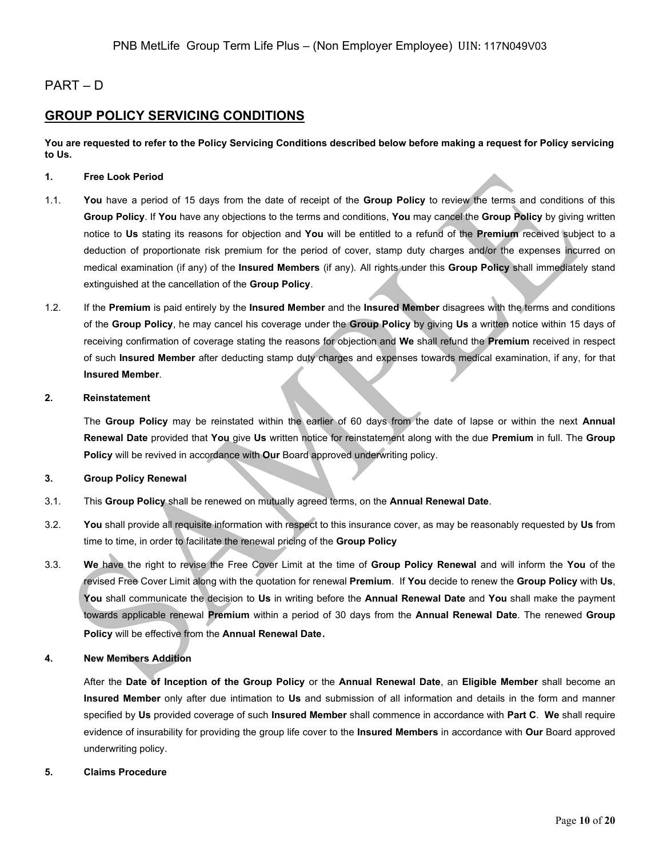### PART – D

## **GROUP POLICY SERVICING CONDITIONS**

**You are requested to refer to the Policy Servicing Conditions described below before making a request for Policy servicing to Us.**

#### **1. Free Look Period**

- 1.1. **You** have a period of 15 days from the date of receipt of the **Group Policy** to review the terms and conditions of this **Group Policy**. If **You** have any objections to the terms and conditions, **You** may cancel the **Group Policy** by giving written notice to **Us** stating its reasons for objection and **You** will be entitled to a refund of the **Premium** received subject to a deduction of proportionate risk premium for the period of cover, stamp duty charges and/or the expenses incurred on medical examination (if any) of the **Insured Members** (if any). All rights under this **Group Policy** shall immediately stand extinguished at the cancellation of the **Group Policy**.
- 1.2. If the **Premium** is paid entirely by the **Insured Member** and the **Insured Member** disagrees with the terms and conditions of the **Group Policy**, he may cancel his coverage under the **Group Policy** by giving **Us** a written notice within 15 days of receiving confirmation of coverage stating the reasons for objection and **We** shall refund the **Premium** received in respect of such **Insured Member** after deducting stamp duty charges and expenses towards medical examination, if any, for that **Insured Member**.

#### **2. Reinstatement**

The **Group Policy** may be reinstated within the earlier of 60 days from the date of lapse or within the next **Annual Renewal Date** provided that **You** give **Us** written notice for reinstatement along with the due **Premium** in full. The **Group Policy** will be revived in accordance with **Our** Board approved underwriting policy.

#### **3. Group Policy Renewal**

- 3.1. This **Group Policy** shall be renewed on mutually agreed terms, on the **Annual Renewal Date**.
- 3.2. **You** shall provide all requisite information with respect to this insurance cover, as may be reasonably requested by **Us** from time to time, in order to facilitate the renewal pricing of the **Group Policy**
- 3.3. **We** have the right to revise the Free Cover Limit at the time of **Group Policy Renewal** and will inform the **You** of the revised Free Cover Limit along with the quotation for renewal **Premium**. If **You** decide to renew the **Group Policy** with **Us**, **You** shall communicate the decision to **Us** in writing before the **Annual Renewal Date** and **You** shall make the payment towards applicable renewal **Premium** within a period of 30 days from the **Annual Renewal Date**. The renewed **Group Policy** will be effective from the **Annual Renewal Date**.

#### **4. New Members Addition**

After the **Date of Inception of the Group Policy** or the **Annual Renewal Date**, an **Eligible Member** shall become an **Insured Member** only after due intimation to **Us** and submission of all information and details in the form and manner specified by **Us** provided coverage of such **Insured Member** shall commence in accordance with **Part C**. **We** shall require evidence of insurability for providing the group life cover to the **Insured Members** in accordance with **Our** Board approved underwriting policy.

#### **5. Claims Procedure**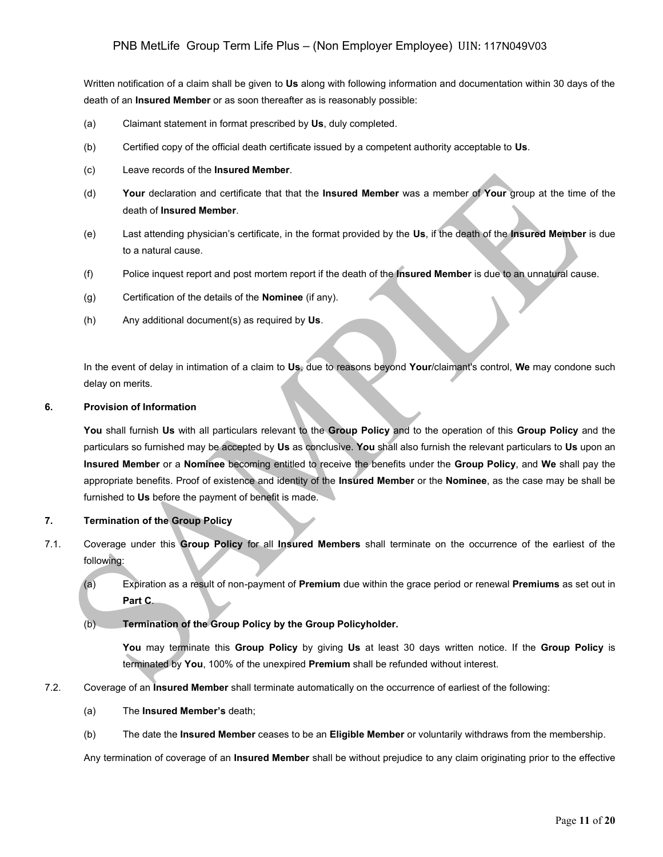Written notification of a claim shall be given to **Us** along with following information and documentation within 30 days of the death of an **Insured Member** or as soon thereafter as is reasonably possible:

- (a) Claimant statement in format prescribed by **Us**, duly completed.
- (b) Certified copy of the official death certificate issued by a competent authority acceptable to **Us**.
- (c) Leave records of the **Insured Member**.
- (d) **Your** declaration and certificate that that the **Insured Member** was a member of **Your** group at the time of the death of **Insured Member**.
- (e) Last attending physician's certificate, in the format provided by the **Us**, if the death of the **Insured Member** is due to a natural cause.
- (f) Police inquest report and post mortem report if the death of the **Insured Member** is due to an unnatural cause.
- (g) Certification of the details of the **Nominee** (if any).
- (h) Any additional document(s) as required by **Us**.

In the event of delay in intimation of a claim to **Us**, due to reasons beyond **Your**/claimant's control, **We** may condone such delay on merits.

#### **6. Provision of Information**

**You** shall furnish **Us** with all particulars relevant to the **Group Policy** and to the operation of this **Group Policy** and the particulars so furnished may be accepted by **Us** as conclusive. **You** shall also furnish the relevant particulars to **Us** upon an **Insured Member** or a **Nominee** becoming entitled to receive the benefits under the **Group Policy**, and **We** shall pay the appropriate benefits. Proof of existence and identity of the **Insured Member** or the **Nominee**, as the case may be shall be furnished to **Us** before the payment of benefit is made.

#### **7. Termination of the Group Policy**

- 7.1. Coverage under this **Group Policy** for all **Insured Members** shall terminate on the occurrence of the earliest of the following:
	- (a) Expiration as a result of non-payment of **Premium** due within the grace period or renewal **Premiums** as set out in **Part C**.
	- (b) **Termination of the Group Policy by the Group Policyholder.**

**You** may terminate this **Group Policy** by giving **Us** at least 30 days written notice. If the **Group Policy** is terminated by **You**, 100% of the unexpired **Premium** shall be refunded without interest.

- 7.2. Coverage of an **Insured Member** shall terminate automatically on the occurrence of earliest of the following:
	- (a) The **Insured Member's** death;
	- (b) The date the **Insured Member** ceases to be an **Eligible Member** or voluntarily withdraws from the membership.

Any termination of coverage of an **Insured Member** shall be without prejudice to any claim originating prior to the effective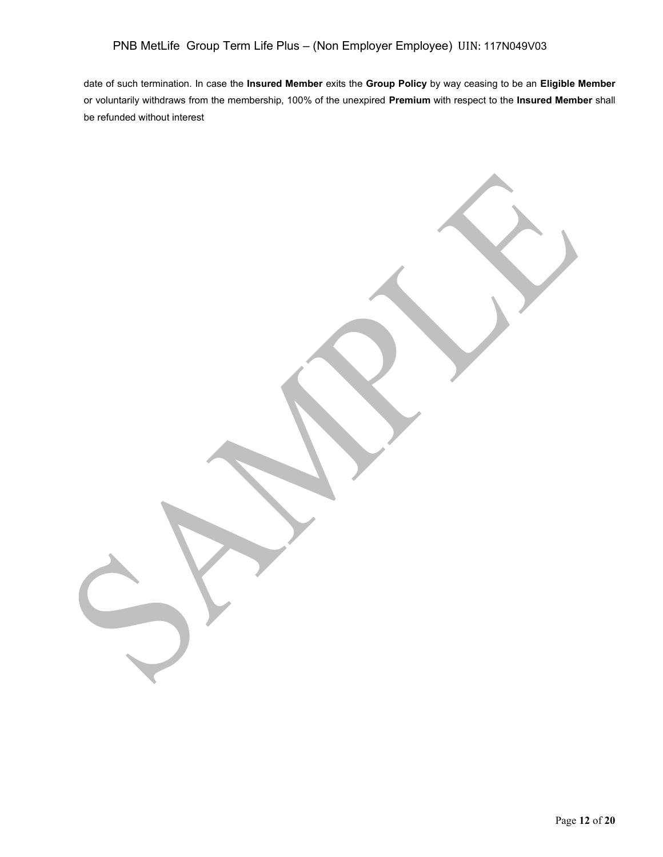date of such termination. In case the **Insured Member** exits the **Group Policy** by way ceasing to be an **Eligible Member** or voluntarily withdraws from the membership, 100% of the unexpired **Premium** with respect to the **Insured Member** shall be refunded without interest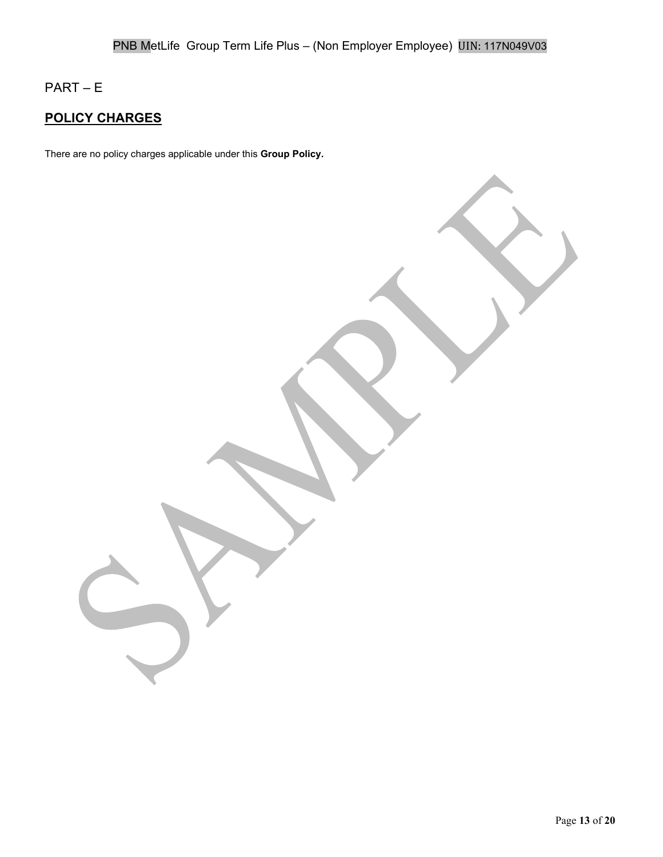# PART – E

# **POLICY CHARGES**

There are no policy charges applicable under this **Group Policy.**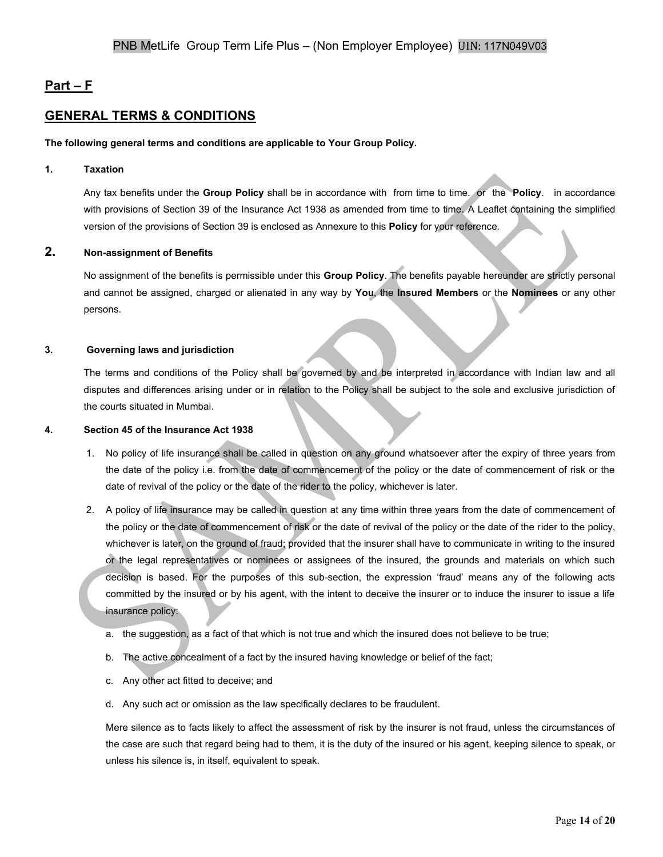## **Part – F**

## **GENERAL TERMS & CONDITIONS**

#### **The following general terms and conditions are applicable to Your Group Policy.**

#### **1. Taxation**

Any tax benefits under the **Group Policy** shall be in accordance with from time to time. or the **Policy**. in accordance with provisions of Section 39 of the Insurance Act 1938 as amended from time to time. A Leaflet containing the simplified version of the provisions of Section 39 is enclosed as Annexure to this **Policy** for your reference.

#### **2. Non-assignment of Benefits**

No assignment of the benefits is permissible under this **Group Policy**. The benefits payable hereunder are strictly personal and cannot be assigned, charged or alienated in any way by **You**, the **Insured Members** or the **Nominees** or any other persons.

#### **3. Governing laws and jurisdiction**

The terms and conditions of the Policy shall be governed by and be interpreted in accordance with Indian law and all disputes and differences arising under or in relation to the Policy shall be subject to the sole and exclusive jurisdiction of the courts situated in Mumbai.

#### **4. Section 45 of the Insurance Act 1938**

- 1. No policy of life insurance shall be called in question on any ground whatsoever after the expiry of three years from the date of the policy i.e. from the date of commencement of the policy or the date of commencement of risk or the date of revival of the policy or the date of the rider to the policy, whichever is later.
- 2. A policy of life insurance may be called in question at any time within three years from the date of commencement of the policy or the date of commencement of risk or the date of revival of the policy or the date of the rider to the policy, whichever is later, on the ground of fraud; provided that the insurer shall have to communicate in writing to the insured or the legal representatives or nominees or assignees of the insured, the grounds and materials on which such decision is based. For the purposes of this sub-section, the expression 'fraud' means any of the following acts committed by the insured or by his agent, with the intent to deceive the insurer or to induce the insurer to issue a life insurance policy:
	- a. the suggestion, as a fact of that which is not true and which the insured does not believe to be true;
	- b. The active concealment of a fact by the insured having knowledge or belief of the fact;
	- c. Any other act fitted to deceive; and
	- d. Any such act or omission as the law specifically declares to be fraudulent.

Mere silence as to facts likely to affect the assessment of risk by the insurer is not fraud, unless the circumstances of the case are such that regard being had to them, it is the duty of the insured or his agent, keeping silence to speak, or unless his silence is, in itself, equivalent to speak.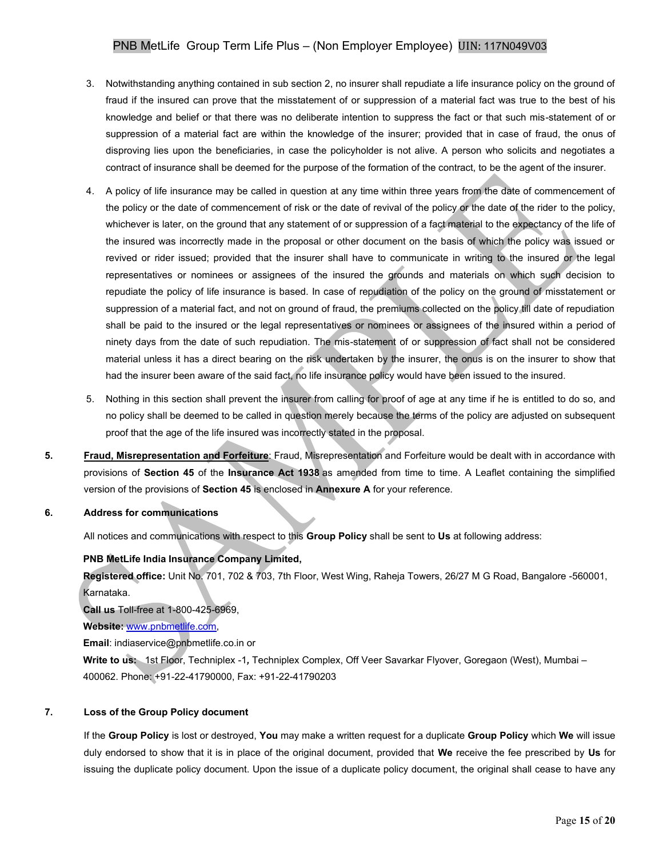- 3. Notwithstanding anything contained in sub section 2, no insurer shall repudiate a life insurance policy on the ground of fraud if the insured can prove that the misstatement of or suppression of a material fact was true to the best of his knowledge and belief or that there was no deliberate intention to suppress the fact or that such mis-statement of or suppression of a material fact are within the knowledge of the insurer; provided that in case of fraud, the onus of disproving lies upon the beneficiaries, in case the policyholder is not alive. A person who solicits and negotiates a contract of insurance shall be deemed for the purpose of the formation of the contract, to be the agent of the insurer.
- 4. A policy of life insurance may be called in question at any time within three years from the date of commencement of the policy or the date of commencement of risk or the date of revival of the policy or the date of the rider to the policy, whichever is later, on the ground that any statement of or suppression of a fact material to the expectancy of the life of the insured was incorrectly made in the proposal or other document on the basis of which the policy was issued or revived or rider issued; provided that the insurer shall have to communicate in writing to the insured or the legal representatives or nominees or assignees of the insured the grounds and materials on which such decision to repudiate the policy of life insurance is based. In case of repudiation of the policy on the ground of misstatement or suppression of a material fact, and not on ground of fraud, the premiums collected on the policy till date of repudiation shall be paid to the insured or the legal representatives or nominees or assignees of the insured within a period of ninety days from the date of such repudiation. The mis-statement of or suppression of fact shall not be considered material unless it has a direct bearing on the risk undertaken by the insurer, the onus is on the insurer to show that had the insurer been aware of the said fact, no life insurance policy would have been issued to the insured.
- 5. Nothing in this section shall prevent the insurer from calling for proof of age at any time if he is entitled to do so, and no policy shall be deemed to be called in question merely because the terms of the policy are adjusted on subsequent proof that the age of the life insured was incorrectly stated in the proposal.
- **5. Fraud, Misrepresentation and Forfeiture**: Fraud, Misrepresentation and Forfeiture would be dealt with in accordance with provisions of **Section 45** of the **Insurance Act 1938** as amended from time to time. A Leaflet containing the simplified version of the provisions of **Section 45** is enclosed in **Annexure A** for your reference.

#### **6. Address for communications**

All notices and communications with respect to this **Group Policy** shall be sent to **Us** at following address:

#### **PNB MetLife India Insurance Company Limited,**

**Registered office:** Unit No. 701, 702 & 703, 7th Floor, West Wing, Raheja Towers, 26/27 M G Road, Bangalore -560001, Karnataka.

**Call us** Toll-free at 1-800-425-6969,

**Website:** [www.pnbmetlife.com,](http://www.pnbmetlife.com/)

**Email**: indiaservice@pnbmetlife.co.in or

**Write to us:** 1st Floor, Techniplex -1*,* Techniplex Complex, Off Veer Savarkar Flyover, Goregaon (West), Mumbai – 400062. Phone: +91-22-41790000, Fax: +91-22-41790203

#### **7. Loss of the Group Policy document**

If the **Group Policy** is lost or destroyed, **You** may make a written request for a duplicate **Group Policy** which **We** will issue duly endorsed to show that it is in place of the original document, provided that **We** receive the fee prescribed by **Us** for issuing the duplicate policy document. Upon the issue of a duplicate policy document, the original shall cease to have any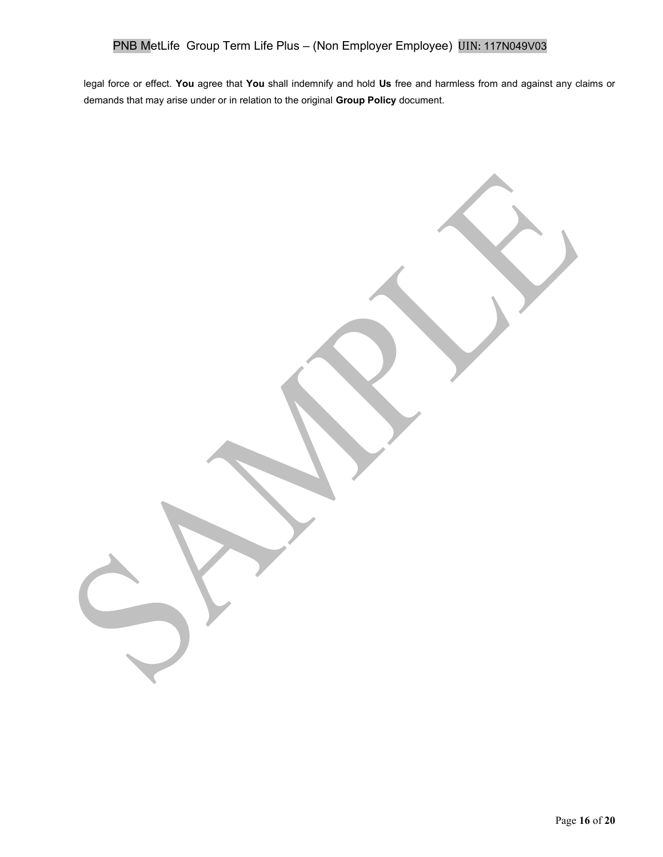legal force or effect. **You** agree that **You** shall indemnify and hold **Us** free and harmless from and against any claims or demands that may arise under or in relation to the original **Group Policy** document.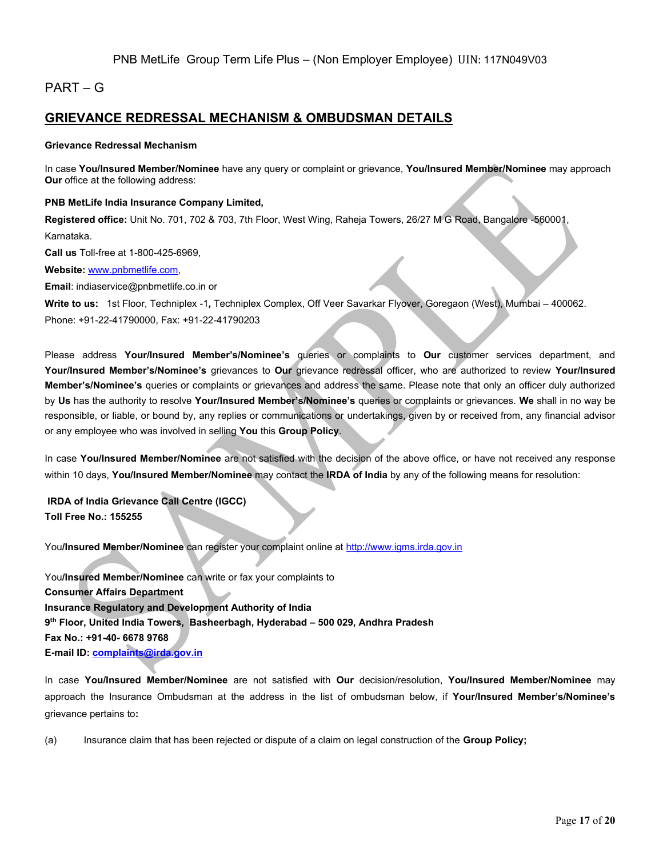## PART – G

## **GRIEVANCE REDRESSAL MECHANISM & OMBUDSMAN DETAILS**

#### **Grievance Redressal Mechanism**

In case **You/Insured Member/Nominee** have any query or complaint or grievance, **You/Insured Member/Nominee** may approach **Our** office at the following address:

**PNB MetLife India Insurance Company Limited,** 

**Registered office:** Unit No. 701, 702 & 703, 7th Floor, West Wing, Raheja Towers, 26/27 M G Road, Bangalore -560001, Karnataka.

**Call us** Toll-free at 1-800-425-6969,

**Website:** [www.pnbmetlife.com,](http://www.pnbmetlife.com/)

**Email**: indiaservice@pnbmetlife.co.in or

**Write to us:** 1st Floor, Techniplex -1*,* Techniplex Complex, Off Veer Savarkar Flyover, Goregaon (West), Mumbai – 400062. Phone: +91-22-41790000, Fax: +91-22-41790203

Please address **Your/Insured Member's/Nominee's** queries or complaints to **Our** customer services department, and **Your/Insured Member's/Nominee's** grievances to **Our** grievance redressal officer, who are authorized to review **Your/Insured Member's/Nominee's** queries or complaints or grievances and address the same. Please note that only an officer duly authorized by **Us** has the authority to resolve **Your/Insured Member's/Nominee's** queries or complaints or grievances. **We** shall in no way be responsible, or liable, or bound by, any replies or communications or undertakings, given by or received from, any financial advisor or any employee who was involved in selling **You** this **Group Policy**.

In case **You/Insured Member/Nominee** are not satisfied with the decision of the above office, or have not received any response within 10 days, **You/Insured Member/Nominee** may contact the **IRDA of India** by any of the following means for resolution:

**IRDA of India Grievance Call Centre (IGCC) Toll Free No.: 155255**

You**/Insured Member/Nominee** can register your complaint online a[t http://www.igms.irda.gov.in](http://www.igms.irda.gov.in/)

You**/Insured Member/Nominee** can write or fax your complaints to **Consumer Affairs Department Insurance Regulatory and Development Authority of India 9 th Floor, United India Towers, Basheerbagh, Hyderabad – 500 029, Andhra Pradesh Fax No.: +91-40- 6678 9768 E-mail ID[: complaints@irda.gov.in](mailto:complaints@irda.gov.in)**

In case **You/Insured Member/Nominee** are not satisfied with **Our** decision/resolution, **You/Insured Member/Nominee** may approach the Insurance Ombudsman at the address in the list of ombudsman below, if **Your/Insured Member's/Nominee's** grievance pertains to**:**

(a) Insurance claim that has been rejected or dispute of a claim on legal construction of the **Group Policy;**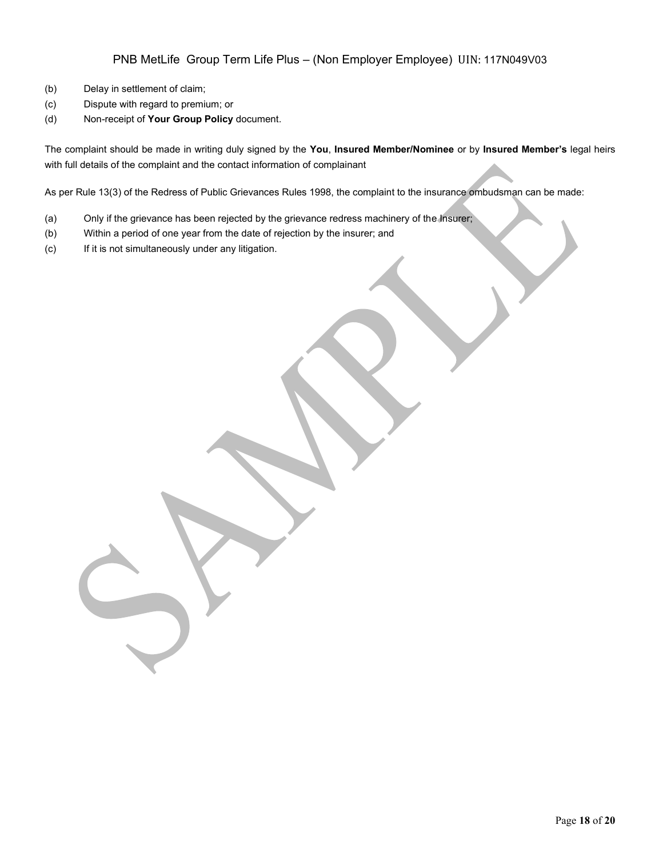- (b) Delay in settlement of claim;
- (c) Dispute with regard to premium; or
- (d) Non-receipt of **Your Group Policy** document.

The complaint should be made in writing duly signed by the **You**, **Insured Member/Nominee** or by **Insured Member's** legal heirs with full details of the complaint and the contact information of complainant

As per Rule 13(3) of the Redress of Public Grievances Rules 1998, the complaint to the insurance ombudsman can be made:

- (a) Only if the grievance has been rejected by the grievance redress machinery of the Insurer;
- (b) Within a period of one year from the date of rejection by the insurer; and
- (c) If it is not simultaneously under any litigation.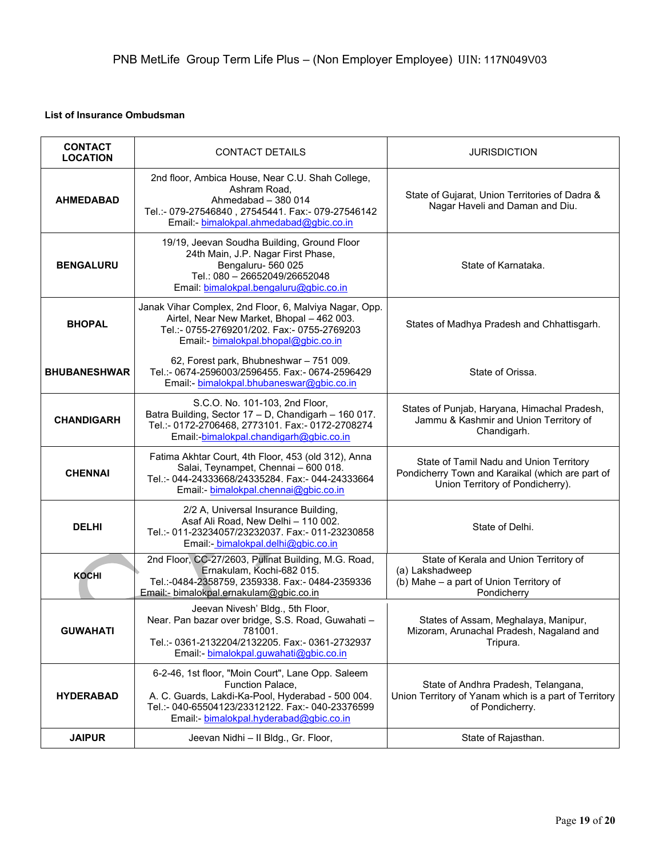### **List of Insurance Ombudsman**

| <b>CONTACT</b><br><b>LOCATION</b> | <b>CONTACT DETAILS</b>                                                                                                                                                                                                   | <b>JURISDICTION</b>                                                                                                             |
|-----------------------------------|--------------------------------------------------------------------------------------------------------------------------------------------------------------------------------------------------------------------------|---------------------------------------------------------------------------------------------------------------------------------|
| <b>AHMEDABAD</b>                  | 2nd floor, Ambica House, Near C.U. Shah College,<br>Ashram Road,<br>Ahmedabad - 380 014<br>Tel.:- 079-27546840, 27545441. Fax:- 079-27546142<br>Email:- bimalokpal.ahmedabad@gbic.co.in                                  | State of Gujarat, Union Territories of Dadra &<br>Nagar Haveli and Daman and Diu.                                               |
| <b>BENGALURU</b>                  | 19/19, Jeevan Soudha Building, Ground Floor<br>24th Main, J.P. Nagar First Phase,<br>Bengaluru-560 025<br>Tel.: 080 - 26652049/26652048<br>Email: bimalokpal.bengaluru@gbic.co.in                                        | State of Karnataka.                                                                                                             |
| <b>BHOPAL</b>                     | Janak Vihar Complex, 2nd Floor, 6, Malviya Nagar, Opp.<br>Airtel, Near New Market, Bhopal - 462 003.<br>Tel.:- 0755-2769201/202. Fax:- 0755-2769203<br>Email: bimalokpal.bhopal@gbic.co.in                               | States of Madhya Pradesh and Chhattisgarh.                                                                                      |
| <b>BHUBANESHWAR</b>               | 62, Forest park, Bhubneshwar - 751 009.<br>Tel.:- 0674-2596003/2596455. Fax:- 0674-2596429<br>Email: bimalokpal.bhubaneswar@gbic.co.in                                                                                   | State of Orissa.                                                                                                                |
| <b>CHANDIGARH</b>                 | S.C.O. No. 101-103, 2nd Floor,<br>Batra Building, Sector 17 - D, Chandigarh - 160 017.<br>Tel.:- 0172-2706468, 2773101. Fax:- 0172-2708274<br>Email:-bimalokpal.chandigarh@gbic.co.in                                    | States of Punjab, Haryana, Himachal Pradesh,<br>Jammu & Kashmir and Union Territory of<br>Chandigarh.                           |
| <b>CHENNAI</b>                    | Fatima Akhtar Court, 4th Floor, 453 (old 312), Anna<br>Salai, Teynampet, Chennai - 600 018.<br>Tel.:- 044-24333668/24335284. Fax:- 044-24333664<br>Email: bimalokpal.chennai@gbic.co.in                                  | State of Tamil Nadu and Union Territory<br>Pondicherry Town and Karaikal (which are part of<br>Union Territory of Pondicherry). |
| <b>DELHI</b>                      | 2/2 A, Universal Insurance Building,<br>Asaf Ali Road, New Delhi - 110 002.<br>Tel.:- 011-23234057/23232037. Fax:- 011-23230858<br>Email: bimalokpal.delhi@gbic.co.in                                                    | State of Delhi.                                                                                                                 |
| <b>KOCHI</b>                      | 2nd Floor, CC-27/2603, Pulinat Building, M.G. Road,<br>Ernakulam, Kochi-682 015.<br>Tel.:-0484-2358759, 2359338. Fax:- 0484-2359336<br>Email:- bimalokpal.ernakulam@gbic.co.in                                           | State of Kerala and Union Territory of<br>(a) Lakshadweep<br>(b) Mahe - a part of Union Territory of<br>Pondicherry             |
| <b>GUWAHATI</b>                   | Jeevan Nivesh' Bldg., 5th Floor,<br>Near. Pan bazar over bridge, S.S. Road, Guwahati -<br>781001.<br>Tel.:- 0361-2132204/2132205. Fax:- 0361-2732937<br>Email: bimalokpal.guwahati@gbic.co.in                            | States of Assam, Meghalaya, Manipur,<br>Mizoram, Arunachal Pradesh, Nagaland and<br>Tripura.                                    |
| <b>HYDERABAD</b>                  | 6-2-46, 1st floor, "Moin Court", Lane Opp. Saleem<br>Function Palace,<br>A. C. Guards, Lakdi-Ka-Pool, Hyderabad - 500 004.<br>Tel.:- 040-65504123/23312122. Fax:- 040-23376599<br>Email: bimalokpal.hyderabad@gbic.co.in | State of Andhra Pradesh, Telangana,<br>Union Territory of Yanam which is a part of Territory<br>of Pondicherry.                 |
| <b>JAIPUR</b>                     | Jeevan Nidhi - Il Bldg., Gr. Floor,                                                                                                                                                                                      | State of Rajasthan.                                                                                                             |